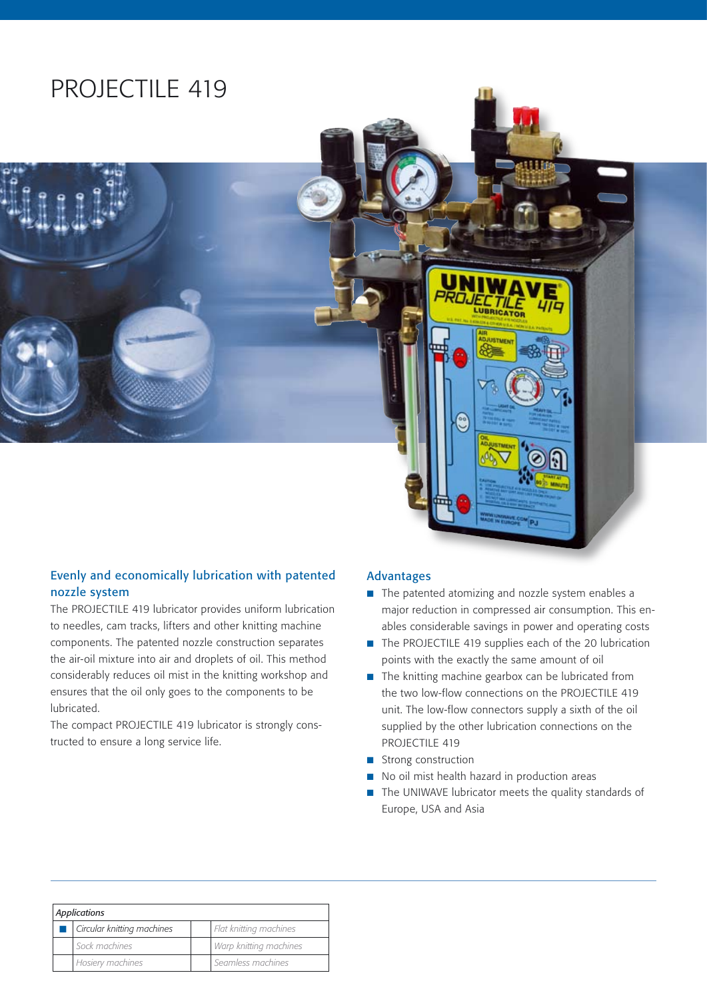# PROJECTILE 419

#### Evenly and economically lubrication with patented nozzle system

The PROJECTILE 419 lubricator provides uniform lubrication to needles, cam tracks, lifters and other knitting machine components. The patented nozzle construction separates the air-oil mixture into air and droplets of oil. This method considerably reduces oil mist in the knitting workshop and ensures that the oil only goes to the components to be lubricated.

The compact PROJECTILE 419 lubricator is strongly constructed to ensure a long service life.

#### Advantages

- The patented atomizing and nozzle system enables a major reduction in compressed air consumption. This enables considerable savings in power and operating costs
- The PROJECTILE 419 supplies each of the 20 lubrication points with the exactly the same amount of oil
- $\blacksquare$  The knitting machine gearbox can be lubricated from the two low-flow connections on the PROJECTILE 419 unit. The low-flow connectors supply a sixth of the oil supplied by the other lubrication connections on the PROJECTILE 419
- Strong construction
- No oil mist health hazard in production areas
- $\blacksquare$  The UNIWAVE lubricator meets the quality standards of Europe, USA and Asia

| Applications |                            |  |                        |
|--------------|----------------------------|--|------------------------|
|              | Circular knitting machines |  | Flat knitting machines |
|              | Sock machines              |  | Warp knitting machines |
|              | Hosiery machines           |  | Seamless machines      |